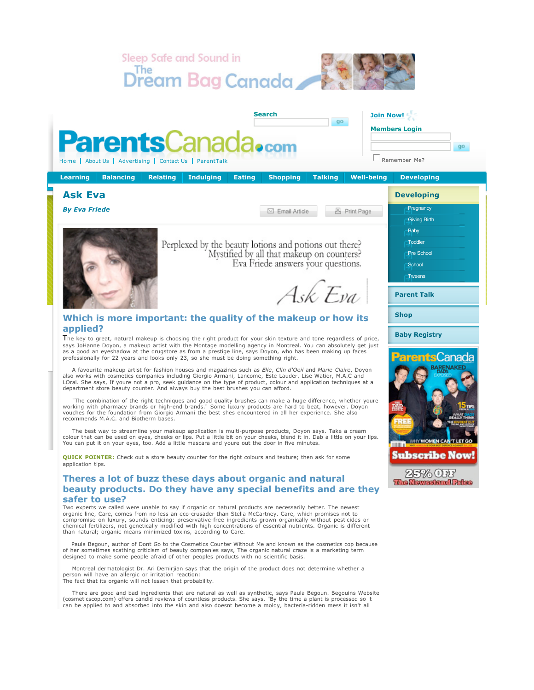